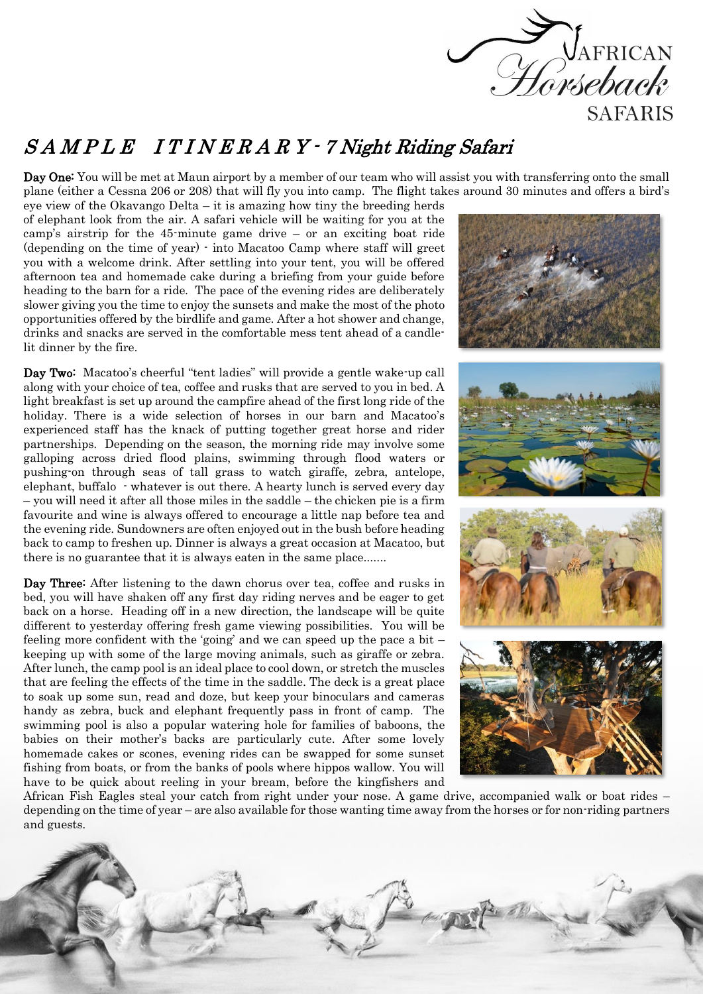

## S A M P L E I T I N E R A R Y - 7 Night Riding Safari

Day One: You will be met at Maun airport by a member of our team who will assist you with transferring onto the small plane (either a Cessna 206 or 208) that will fly you into camp. The flight takes around 30 minutes and offers a bird's

eye view of the Okavango Delta – it is amazing how tiny the breeding herds of elephant look from the air. A safari vehicle will be waiting for you at the camp's airstrip for the 45-minute game drive – or an exciting boat ride (depending on the time of year) - into Macatoo Camp where staff will greet you with a welcome drink. After settling into your tent, you will be offered afternoon tea and homemade cake during a briefing from your guide before heading to the barn for a ride. The pace of the evening rides are deliberately slower giving you the time to enjoy the sunsets and make the most of the photo opportunities offered by the birdlife and game. After a hot shower and change, drinks and snacks are served in the comfortable mess tent ahead of a candlelit dinner by the fire.

Day Two: Macatoo's cheerful "tent ladies" will provide a gentle wake-up call along with your choice of tea, coffee and rusks that are served to you in bed. A light breakfast is set up around the campfire ahead of the first long ride of the holiday. There is a wide selection of horses in our barn and Macatoo's experienced staff has the knack of putting together great horse and rider partnerships. Depending on the season, the morning ride may involve some galloping across dried flood plains, swimming through flood waters or pushing-on through seas of tall grass to watch giraffe, zebra, antelope, elephant, buffalo - whatever is out there. A hearty lunch is served every day – you will need it after all those miles in the saddle – the chicken pie is a firm favourite and wine is always offered to encourage a little nap before tea and the evening ride. Sundowners are often enjoyed out in the bush before heading back to camp to freshen up. Dinner is always a great occasion at Macatoo, but there is no guarantee that it is always eaten in the same place.......

Day Three: After listening to the dawn chorus over tea, coffee and rusks in bed, you will have shaken off any first day riding nerves and be eager to get back on a horse. Heading off in a new direction, the landscape will be quite different to yesterday offering fresh game viewing possibilities. You will be feeling more confident with the 'going' and we can speed up the pace a bit – keeping up with some of the large moving animals, such as giraffe or zebra. After lunch, the camp pool is an ideal place to cool down, or stretch the muscles that are feeling the effects of the time in the saddle. The deck is a great place to soak up some sun, read and doze, but keep your binoculars and cameras handy as zebra, buck and elephant frequently pass in front of camp. The swimming pool is also a popular watering hole for families of baboons, the babies on their mother's backs are particularly cute. After some lovely homemade cakes or scones, evening rides can be swapped for some sunset fishing from boats, or from the banks of pools where hippos wallow. You will have to be quick about reeling in your bream, before the kingfishers and



African Fish Eagles steal your catch from right under your nose. A game drive, accompanied walk or boat rides – depending on the time of year – are also available for those wanting time away from the horses or for non-riding partners and guests.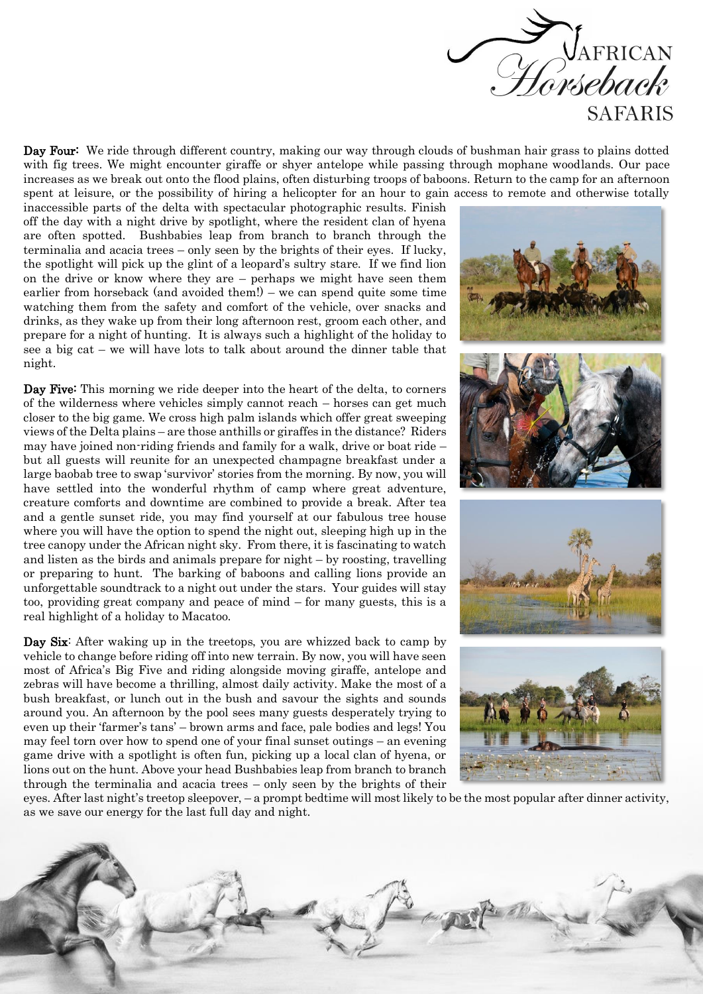

Day Four: We ride through different country, making our way through clouds of bushman hair grass to plains dotted with fig trees. We might encounter giraffe or shyer antelope while passing through mophane woodlands. Our pace increases as we break out onto the flood plains, often disturbing troops of baboons. Return to the camp for an afternoon spent at leisure, or the possibility of hiring a helicopter for an hour to gain access to remote and otherwise totally

inaccessible parts of the delta with spectacular photographic results. Finish off the day with a night drive by spotlight, where the resident clan of hyena are often spotted. Bushbabies leap from branch to branch through the terminalia and acacia trees – only seen by the brights of their eyes. If lucky, the spotlight will pick up the glint of a leopard's sultry stare. If we find lion on the drive or know where they are – perhaps we might have seen them earlier from horseback (and avoided them!) – we can spend quite some time watching them from the safety and comfort of the vehicle, over snacks and drinks, as they wake up from their long afternoon rest, groom each other, and prepare for a night of hunting. It is always such a highlight of the holiday to see a big cat – we will have lots to talk about around the dinner table that night.

Day Five: This morning we ride deeper into the heart of the delta, to corners of the wilderness where vehicles simply cannot reach – horses can get much closer to the big game. We cross high palm islands which offer great sweeping views of the Delta plains – are those anthills or giraffes in the distance? Riders may have joined non-riding friends and family for a walk, drive or boat ride – but all guests will reunite for an unexpected champagne breakfast under a large baobab tree to swap 'survivor' stories from the morning. By now, you will have settled into the wonderful rhythm of camp where great adventure, creature comforts and downtime are combined to provide a break. After tea and a gentle sunset ride, you may find yourself at our fabulous tree house where you will have the option to spend the night out, sleeping high up in the tree canopy under the African night sky. From there, it is fascinating to watch and listen as the birds and animals prepare for night – by roosting, travelling or preparing to hunt. The barking of baboons and calling lions provide an unforgettable soundtrack to a night out under the stars. Your guides will stay too, providing great company and peace of mind – for many guests, this is a real highlight of a holiday to Macatoo.

Day Six: After waking up in the treetops, you are whizzed back to camp by vehicle to change before riding off into new terrain. By now, you will have seen most of Africa's Big Five and riding alongside moving giraffe, antelope and zebras will have become a thrilling, almost daily activity. Make the most of a bush breakfast, or lunch out in the bush and savour the sights and sounds around you. An afternoon by the pool sees many guests desperately trying to even up their 'farmer's tans' – brown arms and face, pale bodies and legs! You may feel torn over how to spend one of your final sunset outings – an evening game drive with a spotlight is often fun, picking up a local clan of hyena, or lions out on the hunt. Above your head Bushbabies leap from branch to branch through the terminalia and acacia trees – only seen by the brights of their



eyes. After last night's treetop sleepover, – a prompt bedtime will most likely to be the most popular after dinner activity, as we save our energy for the last full day and night.